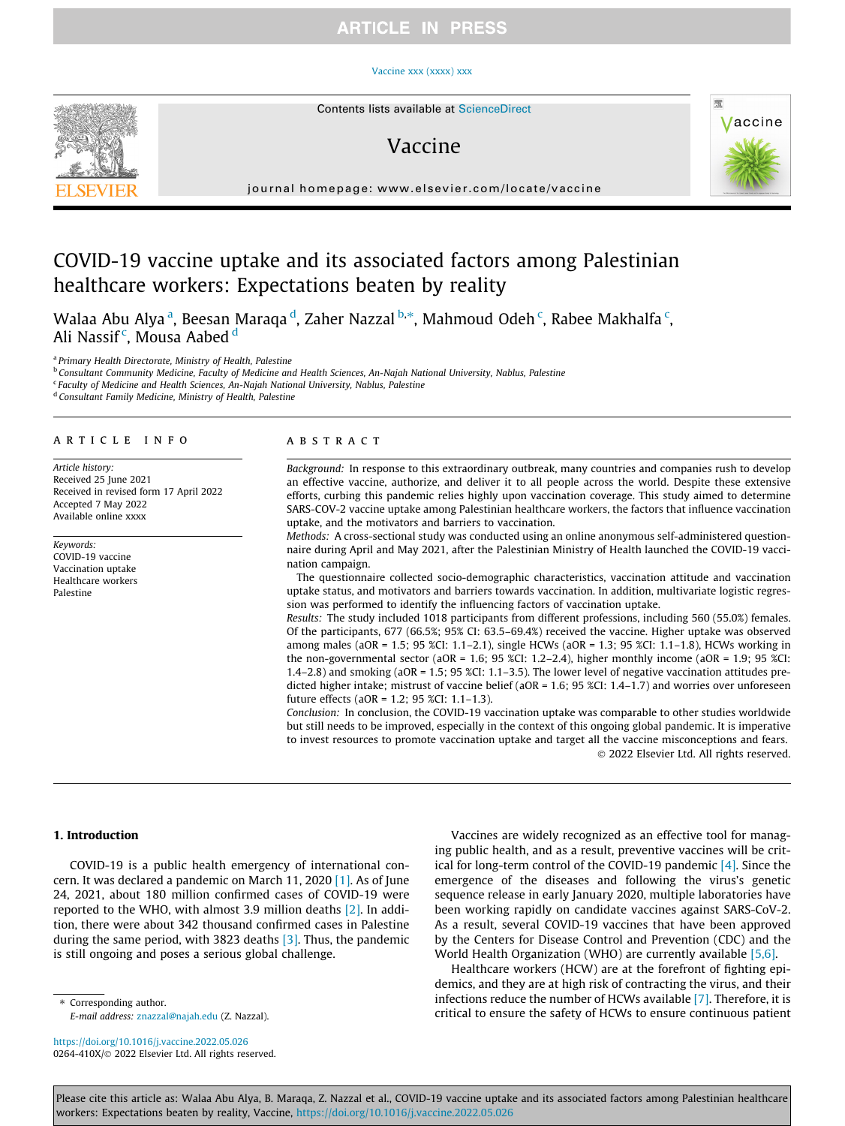## **ARTICLE IN PRESS**

#### [Vaccine xxx \(xxxx\) xxx](https://doi.org/10.1016/j.vaccine.2022.05.026)



## Vaccine



journal homepage: [www.elsevier.com/locate/vaccine](http://www.elsevier.com/locate/vaccine)

# COVID-19 vaccine uptake and its associated factors among Palestinian healthcare workers: Expectations beaten by reality

Walaa Abu Alya <sup>a</sup>, Beesan Maraqa <sup>d</sup>, Zaher Nazzal <sup>b,</sup>\*, Mahmoud Odeh <sup>c</sup>, Rabee Makhalfa <sup>c</sup>, Ali Nassif<sup>c</sup>, Mousa Aabed <sup>d</sup>

<sup>a</sup> Primary Health Directorate, Ministry of Health, Palestine

<sup>b</sup> Consultant Community Medicine, Faculty of Medicine and Health Sciences, An-Najah National University, Nablus, Palestine

<sup>c</sup> Faculty of Medicine and Health Sciences, An-Najah National University, Nablus, Palestine

<sup>d</sup> Consultant Family Medicine, Ministry of Health, Palestine

## article info

Article history: Received 25 June 2021 Received in revised form 17 April 2022 Accepted 7 May 2022 Available online xxxx

Keywords: COVID-19 vaccine Vaccination uptake Healthcare workers Palestine

#### **ABSTRACT**

Background: In response to this extraordinary outbreak, many countries and companies rush to develop an effective vaccine, authorize, and deliver it to all people across the world. Despite these extensive efforts, curbing this pandemic relies highly upon vaccination coverage. This study aimed to determine SARS-COV-2 vaccine uptake among Palestinian healthcare workers, the factors that influence vaccination uptake, and the motivators and barriers to vaccination.

Methods: A cross-sectional study was conducted using an online anonymous self-administered questionnaire during April and May 2021, after the Palestinian Ministry of Health launched the COVID-19 vaccination campaign.

The questionnaire collected socio-demographic characteristics, vaccination attitude and vaccination uptake status, and motivators and barriers towards vaccination. In addition, multivariate logistic regression was performed to identify the influencing factors of vaccination uptake.

Results: The study included 1018 participants from different professions, including 560 (55.0%) females. Of the participants, 677 (66.5%; 95% CI: 63.5–69.4%) received the vaccine. Higher uptake was observed among males (aOR = 1.5; 95 %CI: 1.1–2.1), single HCWs (aOR = 1.3; 95 %CI: 1.1–1.8), HCWs working in the non-governmental sector (aOR = 1.6; 95 %CI: 1.2–2.4), higher monthly income (aOR = 1.9; 95 %CI: 1.4–2.8) and smoking (aOR = 1.5; 95 %CI: 1.1–3.5). The lower level of negative vaccination attitudes predicted higher intake; mistrust of vaccine belief (aOR = 1.6; 95 %CI: 1.4–1.7) and worries over unforeseen future effects (aOR = 1.2; 95 %CI: 1.1–1.3).

Conclusion: In conclusion, the COVID-19 vaccination uptake was comparable to other studies worldwide but still needs to be improved, especially in the context of this ongoing global pandemic. It is imperative to invest resources to promote vaccination uptake and target all the vaccine misconceptions and fears. 2022 Elsevier Ltd. All rights reserved.

### 1. Introduction

COVID-19 is a public health emergency of international concern. It was declared a pandemic on March 11, 2020 [\[1\].](#page-5-0) As of June 24, 2021, about 180 million confirmed cases of COVID-19 were reported to the WHO, with almost 3.9 million deaths [\[2\]](#page-5-0). In addition, there were about 342 thousand confirmed cases in Palestine during the same period, with 3823 deaths [\[3\]](#page-5-0). Thus, the pandemic is still ongoing and poses a serious global challenge.

⇑ Corresponding author. E-mail address: [znazzal@najah.edu](mailto:znazzal@najah.edu) (Z. Nazzal).

<https://doi.org/10.1016/j.vaccine.2022.05.026> 0264-410X/@ 2022 Elsevier Ltd. All rights reserved.

Vaccines are widely recognized as an effective tool for managing public health, and as a result, preventive vaccines will be critical for long-term control of the COVID-19 pandemic [\[4\].](#page-5-0) Since the emergence of the diseases and following the virus's genetic sequence release in early January 2020, multiple laboratories have been working rapidly on candidate vaccines against SARS-CoV-2. As a result, several COVID-19 vaccines that have been approved by the Centers for Disease Control and Prevention (CDC) and the World Health Organization (WHO) are currently available [\[5,6\].](#page-5-0)

Healthcare workers (HCW) are at the forefront of fighting epidemics, and they are at high risk of contracting the virus, and their infections reduce the number of HCWs available [\[7\].](#page-5-0) Therefore, it is critical to ensure the safety of HCWs to ensure continuous patient

Please cite this article as: Walaa Abu Alya, B. Maraqa, Z. Nazzal et al., COVID-19 vaccine uptake and its associated factors among Palestinian healthcare workers: Expectations beaten by reality, Vaccine, <https://doi.org/10.1016/j.vaccine.2022.05.026>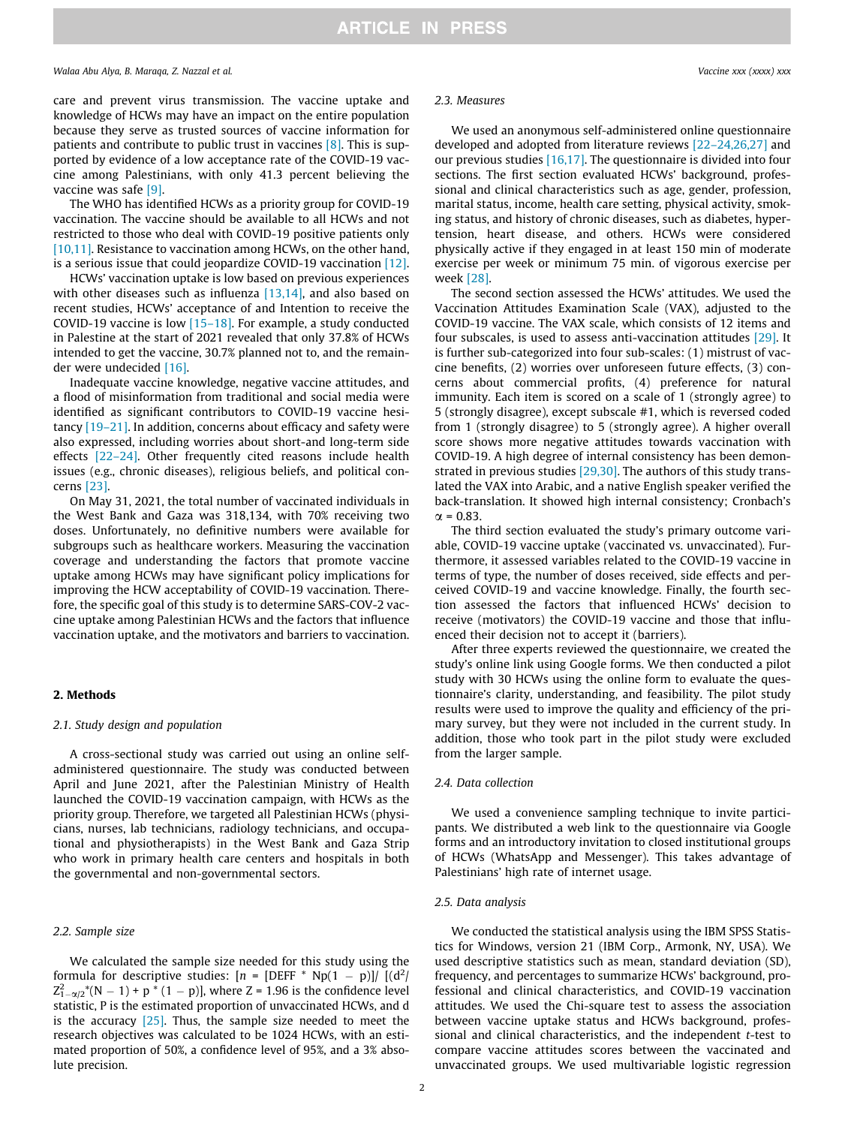care and prevent virus transmission. The vaccine uptake and knowledge of HCWs may have an impact on the entire population because they serve as trusted sources of vaccine information for patients and contribute to public trust in vaccines [\[8\].](#page-5-0) This is supported by evidence of a low acceptance rate of the COVID-19 vaccine among Palestinians, with only 41.3 percent believing the vaccine was safe [\[9\]](#page-5-0).

The WHO has identified HCWs as a priority group for COVID-19 vaccination. The vaccine should be available to all HCWs and not restricted to those who deal with COVID-19 positive patients only [\[10,11\]](#page-5-0). Resistance to vaccination among HCWs, on the other hand, is a serious issue that could jeopardize COVID-19 vaccination [\[12\].](#page-6-0)

HCWs' vaccination uptake is low based on previous experiences with other diseases such as influenza  $[13,14]$ , and also based on recent studies, HCWs' acceptance of and Intention to receive the COVID-19 vaccine is low  $[15-18]$ . For example, a study conducted in Palestine at the start of 2021 revealed that only 37.8% of HCWs intended to get the vaccine, 30.7% planned not to, and the remainder were undecided [\[16\].](#page-6-0)

Inadequate vaccine knowledge, negative vaccine attitudes, and a flood of misinformation from traditional and social media were identified as significant contributors to COVID-19 vaccine hesitancy [\[19–21\]](#page-6-0). In addition, concerns about efficacy and safety were also expressed, including worries about short-and long-term side effects [\[22–24\].](#page-6-0) Other frequently cited reasons include health issues (e.g., chronic diseases), religious beliefs, and political concerns [\[23\].](#page-6-0)

On May 31, 2021, the total number of vaccinated individuals in the West Bank and Gaza was 318,134, with 70% receiving two doses. Unfortunately, no definitive numbers were available for subgroups such as healthcare workers. Measuring the vaccination coverage and understanding the factors that promote vaccine uptake among HCWs may have significant policy implications for improving the HCW acceptability of COVID-19 vaccination. Therefore, the specific goal of this study is to determine SARS-COV-2 vaccine uptake among Palestinian HCWs and the factors that influence vaccination uptake, and the motivators and barriers to vaccination.

## 2. Methods

## 2.1. Study design and population

A cross-sectional study was carried out using an online selfadministered questionnaire. The study was conducted between April and June 2021, after the Palestinian Ministry of Health launched the COVID-19 vaccination campaign, with HCWs as the priority group. Therefore, we targeted all Palestinian HCWs (physicians, nurses, lab technicians, radiology technicians, and occupational and physiotherapists) in the West Bank and Gaza Strip who work in primary health care centers and hospitals in both the governmental and non-governmental sectors.

## 2.2. Sample size

We calculated the sample size needed for this study using the formula for descriptive studies:  $[n = [DEFF * Np(1 - p)] / [(d^2)]$  $Z_{1-\alpha/2}^{2}$ <sup>\*</sup>(N – 1) + p <sup>\*</sup> (1 – p)], where Z = 1.96 is the confidence level statistic, P is the estimated proportion of unvaccinated HCWs, and d is the accuracy  $[25]$ . Thus, the sample size needed to meet the research objectives was calculated to be 1024 HCWs, with an estimated proportion of 50%, a confidence level of 95%, and a 3% absolute precision.

#### 2.3. Measures

We used an anonymous self-administered online questionnaire developed and adopted from literature reviews [\[22–24,26,27\]](#page-6-0) and our previous studies [\[16,17\]](#page-6-0). The questionnaire is divided into four sections. The first section evaluated HCWs' background, professional and clinical characteristics such as age, gender, profession, marital status, income, health care setting, physical activity, smoking status, and history of chronic diseases, such as diabetes, hypertension, heart disease, and others. HCWs were considered physically active if they engaged in at least 150 min of moderate exercise per week or minimum 75 min. of vigorous exercise per week [\[28\].](#page-6-0)

The second section assessed the HCWs' attitudes. We used the Vaccination Attitudes Examination Scale (VAX), adjusted to the COVID-19 vaccine. The VAX scale, which consists of 12 items and four subscales, is used to assess anti-vaccination attitudes [\[29\]](#page-6-0). It is further sub-categorized into four sub-scales: (1) mistrust of vaccine benefits, (2) worries over unforeseen future effects, (3) concerns about commercial profits, (4) preference for natural immunity. Each item is scored on a scale of 1 (strongly agree) to 5 (strongly disagree), except subscale #1, which is reversed coded from 1 (strongly disagree) to 5 (strongly agree). A higher overall score shows more negative attitudes towards vaccination with COVID-19. A high degree of internal consistency has been demonstrated in previous studies [\[29,30\]](#page-6-0). The authors of this study translated the VAX into Arabic, and a native English speaker verified the back-translation. It showed high internal consistency; Cronbach's  $\gamma = 0.83$ 

The third section evaluated the study's primary outcome variable, COVID-19 vaccine uptake (vaccinated vs. unvaccinated). Furthermore, it assessed variables related to the COVID-19 vaccine in terms of type, the number of doses received, side effects and perceived COVID-19 and vaccine knowledge. Finally, the fourth section assessed the factors that influenced HCWs' decision to receive (motivators) the COVID-19 vaccine and those that influenced their decision not to accept it (barriers).

After three experts reviewed the questionnaire, we created the study's online link using Google forms. We then conducted a pilot study with 30 HCWs using the online form to evaluate the questionnaire's clarity, understanding, and feasibility. The pilot study results were used to improve the quality and efficiency of the primary survey, but they were not included in the current study. In addition, those who took part in the pilot study were excluded from the larger sample.

#### 2.4. Data collection

We used a convenience sampling technique to invite participants. We distributed a web link to the questionnaire via Google forms and an introductory invitation to closed institutional groups of HCWs (WhatsApp and Messenger). This takes advantage of Palestinians' high rate of internet usage.

## 2.5. Data analysis

We conducted the statistical analysis using the IBM SPSS Statistics for Windows, version 21 (IBM Corp., Armonk, NY, USA). We used descriptive statistics such as mean, standard deviation (SD), frequency, and percentages to summarize HCWs' background, professional and clinical characteristics, and COVID-19 vaccination attitudes. We used the Chi-square test to assess the association between vaccine uptake status and HCWs background, professional and clinical characteristics, and the independent t-test to compare vaccine attitudes scores between the vaccinated and unvaccinated groups. We used multivariable logistic regression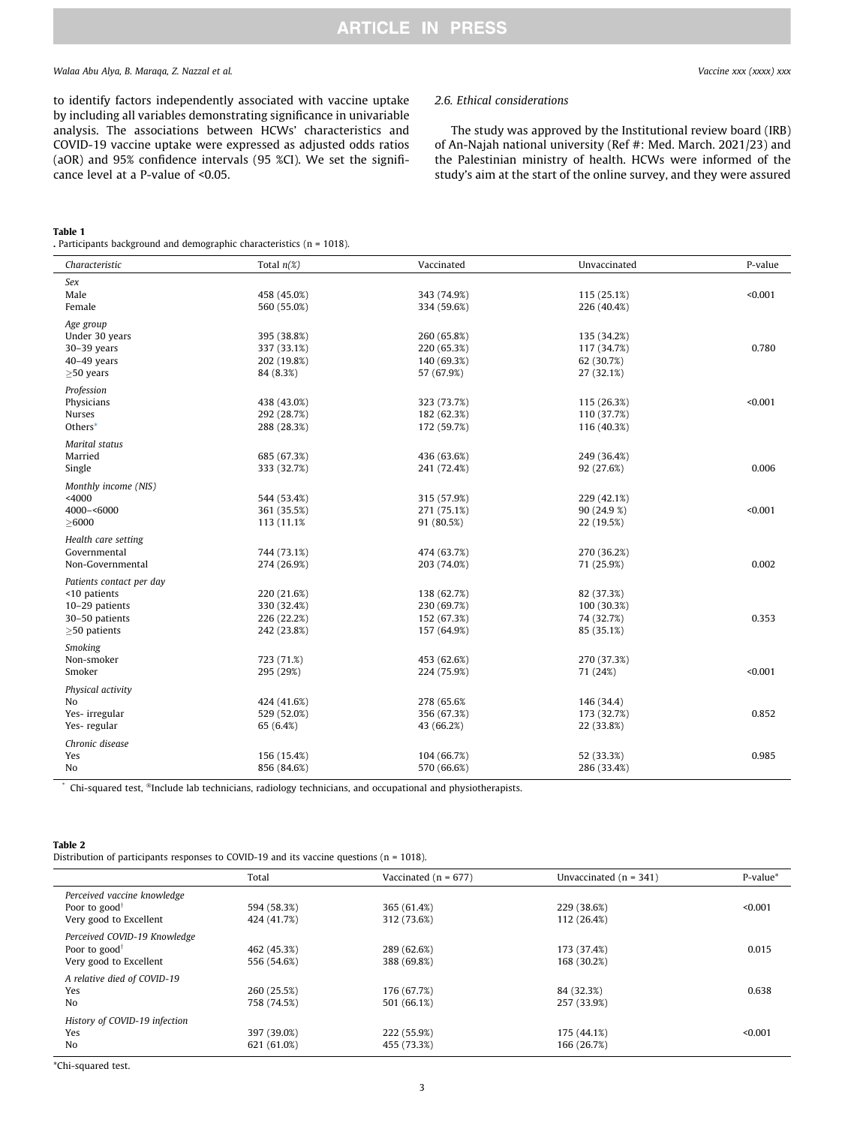## <span id="page-2-0"></span>Walaa Abu Alya, B. Maraqa, Z. Nazzal et al. Vaccine xxx (xxxx) xxx

to identify factors independently associated with vaccine uptake by including all variables demonstrating significance in univariable analysis. The associations between HCWs' characteristics and COVID-19 vaccine uptake were expressed as adjusted odds ratios (aOR) and 95% confidence intervals (95 %CI). We set the significance level at a P-value of <0.05.

#### Table 1

#### 2.6. Ethical considerations

The study was approved by the Institutional review board (IRB) of An-Najah national university (Ref #: Med. March. 2021/23) and the Palestinian ministry of health. HCWs were informed of the study's aim at the start of the online survey, and they were assured

| Characteristic           | Total $n(\%)$ | Vaccinated  | Unvaccinated | P-value |
|--------------------------|---------------|-------------|--------------|---------|
| Sex                      |               |             |              |         |
| Male                     | 458 (45.0%)   | 343 (74.9%) | 115 (25.1%)  | < 0.001 |
| Female                   | 560 (55.0%)   | 334 (59.6%) | 226 (40.4%)  |         |
| Age group                |               |             |              |         |
| Under 30 years           | 395 (38.8%)   | 260 (65.8%) | 135 (34.2%)  |         |
| $30-39$ years            | 337 (33.1%)   | 220 (65.3%) | 117 (34.7%)  | 0.780   |
| $40-49$ years            | 202 (19.8%)   | 140 (69.3%) | 62 (30.7%)   |         |
| $\geq$ 50 years          | 84 (8.3%)     | 57 (67.9%)  | 27 (32.1%)   |         |
| Profession               |               |             |              |         |
| Physicians               | 438 (43.0%)   | 323 (73.7%) | 115 (26.3%)  | < 0.001 |
| Nurses                   | 292 (28.7%)   | 182 (62.3%) | 110 (37.7%)  |         |
| Others*                  | 288 (28.3%)   | 172 (59.7%) | 116 (40.3%)  |         |
| <b>Marital</b> status    |               |             |              |         |
| Married                  | 685 (67.3%)   | 436 (63.6%) | 249 (36.4%)  |         |
| Single                   | 333 (32.7%)   | 241 (72.4%) | 92 (27.6%)   | 0.006   |
| Monthly income (NIS)     |               |             |              |         |
| $<$ 4000                 | 544 (53.4%)   | 315 (57.9%) | 229 (42.1%)  |         |
| 4000-<6000               | 361 (35.5%)   | 271 (75.1%) | 90 (24.9 %)  | < 0.001 |
| $\geq$ 6000              | 113 (11.1%)   | 91 (80.5%)  | 22 (19.5%)   |         |
| Health care setting      |               |             |              |         |
| Governmental             | 744 (73.1%)   | 474 (63.7%) | 270 (36.2%)  |         |
| Non-Governmental         | 274 (26.9%)   | 203 (74.0%) | 71 (25.9%)   | 0.002   |
| Patients contact per day |               |             |              |         |
| <10 patients             | 220 (21.6%)   | 138 (62.7%) | 82 (37.3%)   |         |
| 10-29 patients           | 330 (32.4%)   | 230 (69.7%) | 100 (30.3%)  |         |
| 30-50 patients           | 226 (22.2%)   | 152 (67.3%) | 74 (32.7%)   | 0.353   |
| $\geq$ 50 patients       | 242 (23.8%)   | 157 (64.9%) | 85 (35.1%)   |         |
| Smoking                  |               |             |              |         |
| Non-smoker               | 723 (71.%)    | 453 (62.6%) | 270 (37.3%)  |         |
| Smoker                   | 295 (29%)     | 224 (75.9%) | 71 (24%)     | < 0.001 |
| Physical activity        |               |             |              |         |
| N <sub>o</sub>           | 424 (41.6%)   | 278 (65.6%) | 146 (34.4)   |         |
| Yes-irregular            | 529 (52.0%)   | 356 (67.3%) | 173 (32.7%)  | 0.852   |
| Yes-regular              | 65 (6.4%)     | 43 (66.2%)  | 22 (33.8%)   |         |
| Chronic disease          |               |             |              |         |
| Yes                      | 156 (15.4%)   | 104 (66.7%) | 52 (33.3%)   | 0.985   |
| No                       | 856 (84.6%)   | 570 (66.6%) | 286 (33.4%)  |         |

Chi-squared test, ®Include lab technicians, radiology technicians, and occupational and physiotherapists.

#### Table 2

Distribution of participants responses to COVID-19 and its vaccine questions (n = 1018).

|                                              | Total       | Vaccinated ( $n = 677$ ) | Unvaccinated $(n = 341)$ | P-value* |
|----------------------------------------------|-------------|--------------------------|--------------------------|----------|
| Perceived vaccine knowledge                  |             |                          |                          |          |
| Poor to good <sup><math>\dagger</math></sup> | 594 (58.3%) | 365 (61.4%)              | 229 (38.6%)              | < 0.001  |
| Very good to Excellent                       | 424 (41.7%) | 312 (73.6%)              | 112 (26.4%)              |          |
| Perceived COVID-19 Knowledge                 |             |                          |                          |          |
| Poor to good <sup><math>\dagger</math></sup> | 462 (45.3%) | 289 (62.6%)              | 173 (37.4%)              | 0.015    |
| Very good to Excellent                       | 556 (54.6%) | 388 (69.8%)              | 168 (30.2%)              |          |
| A relative died of COVID-19                  |             |                          |                          |          |
| Yes                                          | 260 (25.5%) | 176 (67.7%)              | 84 (32.3%)               | 0.638    |
| No                                           | 758 (74.5%) | 501 (66.1%)              | 257 (33.9%)              |          |
| History of COVID-19 infection                |             |                          |                          |          |
| Yes                                          | 397 (39.0%) | 222 (55.9%)              | 175 (44.1%)              | < 0.001  |
| No                                           | 621 (61.0%) | 455 (73.3%)              | 166 (26.7%)              |          |

\*Chi-squared test.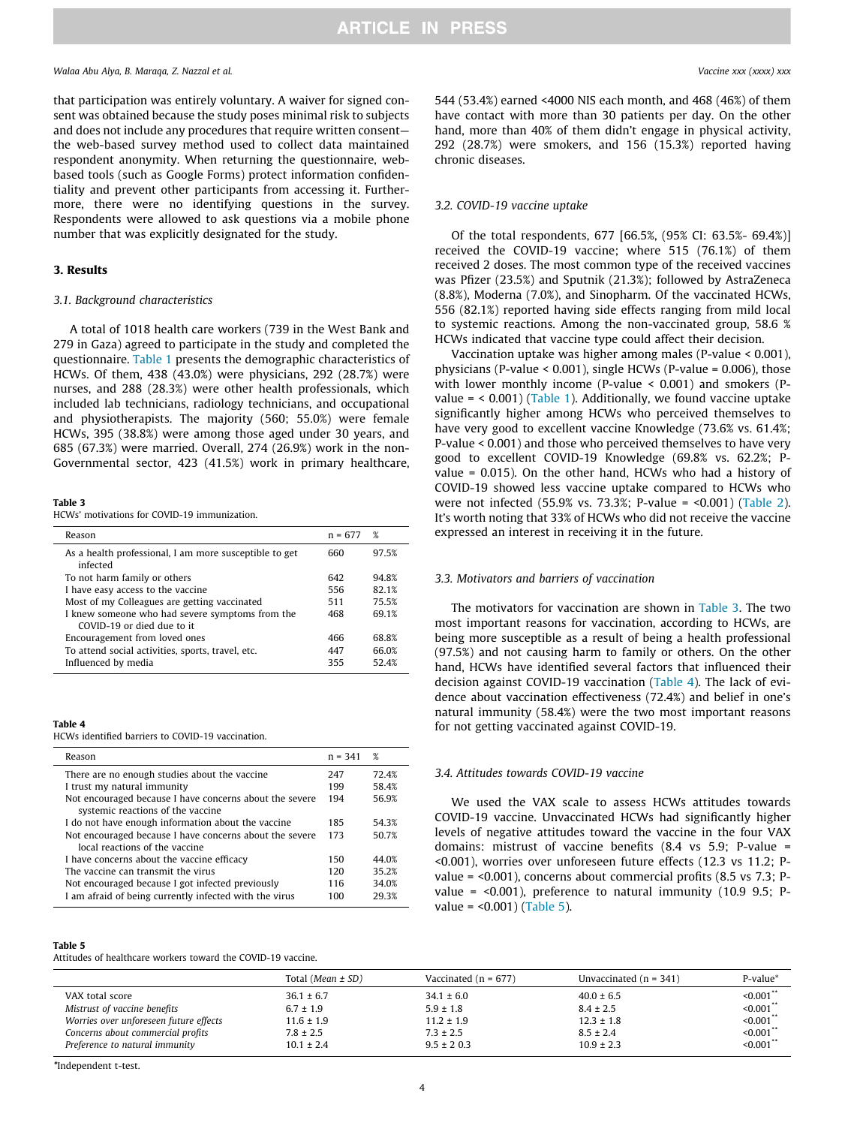#### Walaa Abu Alya, B. Maraqa, Z. Nazzal et al. Vaccine xxx (xxxx) xxx

that participation was entirely voluntary. A waiver for signed consent was obtained because the study poses minimal risk to subjects and does not include any procedures that require written consent the web-based survey method used to collect data maintained respondent anonymity. When returning the questionnaire, webbased tools (such as Google Forms) protect information confidentiality and prevent other participants from accessing it. Furthermore, there were no identifying questions in the survey. Respondents were allowed to ask questions via a mobile phone number that was explicitly designated for the study.

## 3. Results

## 3.1. Background characteristics

A total of 1018 health care workers (739 in the West Bank and 279 in Gaza) agreed to participate in the study and completed the questionnaire. [Table 1](#page-2-0) presents the demographic characteristics of HCWs. Of them, 438 (43.0%) were physicians, 292 (28.7%) were nurses, and 288 (28.3%) were other health professionals, which included lab technicians, radiology technicians, and occupational and physiotherapists. The majority (560; 55.0%) were female HCWs, 395 (38.8%) were among those aged under 30 years, and 685 (67.3%) were married. Overall, 274 (26.9%) work in the non-Governmental sector, 423 (41.5%) work in primary healthcare,

Table 3

HCWs' motivations for COVID-19 immunization.

| Reason                                                                        | $n = 67'$ | $\%$  |
|-------------------------------------------------------------------------------|-----------|-------|
| As a health professional, I am more susceptible to get<br>infected            | 660       | 97.5% |
| To not harm family or others                                                  | 642       | 94.8% |
| I have easy access to the vaccine                                             | 556       | 82.1% |
| Most of my Colleagues are getting vaccinated                                  | 511       | 75.5% |
| I knew someone who had severe symptoms from the<br>COVID-19 or died due to it | 468       | 69.1% |
| Encouragement from loved ones                                                 | 466       | 68.8% |
| To attend social activities, sports, travel, etc.                             | 447       | 66.0% |
| Influenced by media                                                           | 355       | 52.4% |

## Table 4

HCWs identified barriers to COVID-19 vaccination.

| Reason                                                                                    | $n = 341$ | %     |
|-------------------------------------------------------------------------------------------|-----------|-------|
| There are no enough studies about the vaccine                                             | 247       | 72.4% |
| I trust my natural immunity                                                               | 199       | 58.4% |
| Not encouraged because I have concerns about the severe                                   | 194       | 56.9% |
| systemic reactions of the vaccine                                                         |           |       |
| I do not have enough information about the vaccine                                        | 185       | 54.3% |
| Not encouraged because I have concerns about the severe<br>local reactions of the vaccine | 173       | 50.7% |
| I have concerns about the vaccine efficacy                                                | 150       | 44.0% |
| The vaccine can transmit the virus                                                        | 120       | 35 2% |
| Not encouraged because I got infected previously                                          | 116       | 34.0% |
| I am afraid of being currently infected with the virus                                    | 100       | 293%  |

#### Table 5

Attitudes of healthcare workers toward the COVID-19 vaccine.

544 (53.4%) earned <4000 NIS each month, and 468 (46%) of them have contact with more than 30 patients per day. On the other hand, more than 40% of them didn't engage in physical activity, 292 (28.7%) were smokers, and 156 (15.3%) reported having chronic diseases.

## 3.2. COVID-19 vaccine uptake

Of the total respondents, 677 [66.5%, (95% CI: 63.5%- 69.4%)] received the COVID-19 vaccine; where 515 (76.1%) of them received 2 doses. The most common type of the received vaccines was Pfizer (23.5%) and Sputnik (21.3%); followed by AstraZeneca (8.8%), Moderna (7.0%), and Sinopharm. Of the vaccinated HCWs, 556 (82.1%) reported having side effects ranging from mild local to systemic reactions. Among the non-vaccinated group, 58.6 % HCWs indicated that vaccine type could affect their decision.

Vaccination uptake was higher among males (P-value < 0.001), physicians (P-value < 0.001), single HCWs (P-value = 0.006), those with lower monthly income (P-value < 0.001) and smokers (Pvalue = < 0.001) ([Table 1\)](#page-2-0). Additionally, we found vaccine uptake significantly higher among HCWs who perceived themselves to have very good to excellent vaccine Knowledge (73.6% vs. 61.4%; P-value < 0.001) and those who perceived themselves to have very good to excellent COVID-19 Knowledge (69.8% vs. 62.2%; Pvalue = 0.015). On the other hand, HCWs who had a history of COVID-19 showed less vaccine uptake compared to HCWs who were not infected (55.9% vs. 73.3%; P-value = <0.001) ([Table 2\)](#page-2-0). It's worth noting that 33% of HCWs who did not receive the vaccine expressed an interest in receiving it in the future.

### 3.3. Motivators and barriers of vaccination

The motivators for vaccination are shown in Table 3. The two most important reasons for vaccination, according to HCWs, are being more susceptible as a result of being a health professional (97.5%) and not causing harm to family or others. On the other hand, HCWs have identified several factors that influenced their decision against COVID-19 vaccination (Table 4). The lack of evidence about vaccination effectiveness (72.4%) and belief in one's natural immunity (58.4%) were the two most important reasons for not getting vaccinated against COVID-19.

## 3.4. Attitudes towards COVID-19 vaccine

We used the VAX scale to assess HCWs attitudes towards COVID-19 vaccine. Unvaccinated HCWs had significantly higher levels of negative attitudes toward the vaccine in the four VAX domains: mistrust of vaccine benefits (8.4 vs 5.9; P-value = <0.001), worries over unforeseen future effects (12.3 vs 11.2; Pvalue = <0.001), concerns about commercial profits (8.5 vs 7.3; Pvalue =  $< 0.001$ ), preference to natural immunity (10.9 9.5; P $value = <0.001$  (Table 5).

|                                        | Total ( <i>Mean</i> $\pm$ SD) | Vaccinated $(n = 677)$ | Unvaccinated $(n = 341)$ | P-value*                   |
|----------------------------------------|-------------------------------|------------------------|--------------------------|----------------------------|
| VAX total score                        | $36.1 \pm 6.7$                | $34.1 \pm 6.0$         | $40.0 \pm 6.5$           | $\leq 0.001$ $\degree$     |
| Mistrust of vaccine benefits           | $6.7 \pm 1.9$                 | $5.9 \pm 1.8$          | $8.4 \pm 2.5$            | $\leq 0.001$ <sup>**</sup> |
| Worries over unforeseen future effects | $11.6 \pm 1.9$                | $11.2 \pm 1.9$         | $12.3 \pm 1.8$           | $< 0.001$ **               |
| Concerns about commercial profits      | $7.8 \pm 2.5$                 | $7.3 \pm 2.5$          | $8.5 \pm 2.4$            | $\leq 0.001$ **            |
| Preference to natural immunity         | $10.1 \pm 2.4$                | $9.5 \pm 2.03$         | $10.9 \pm 2.3$           | $\leq 0.001$ **            |

\*Independent t-test.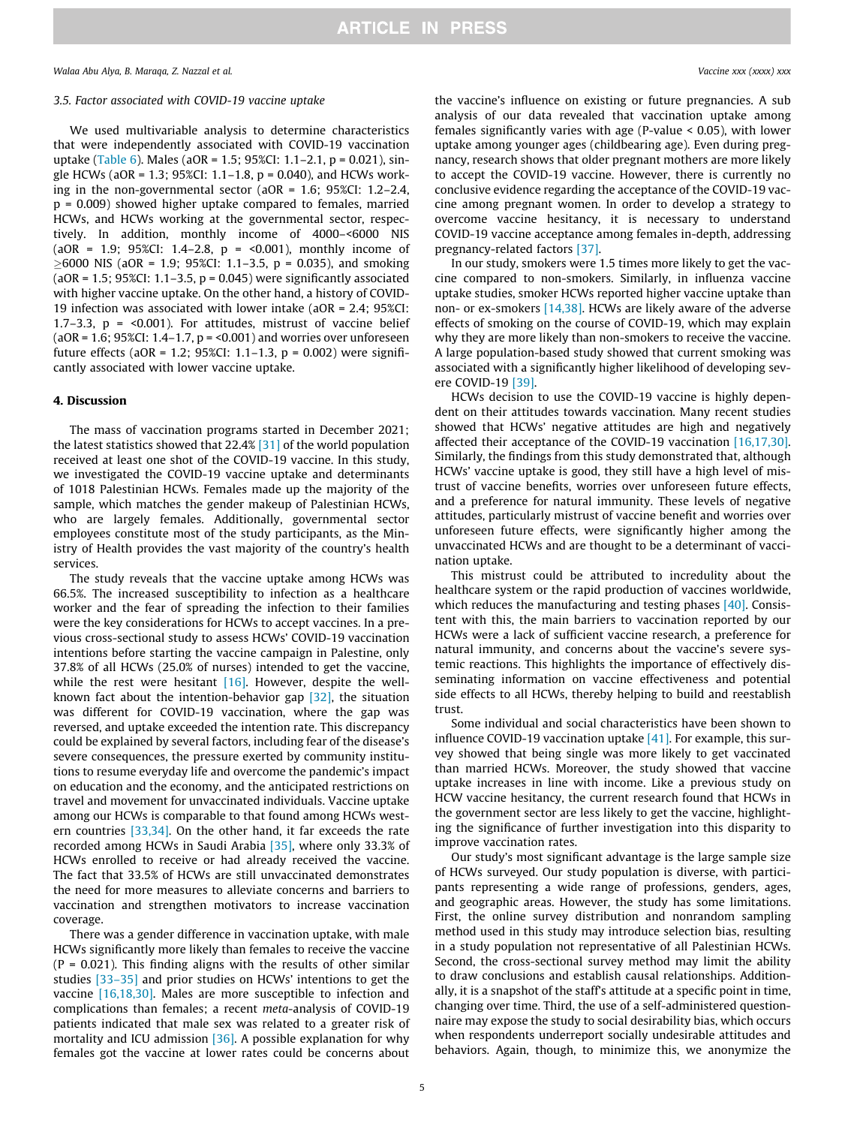#### 3.5. Factor associated with COVID-19 vaccine uptake

We used multivariable analysis to determine characteristics that were independently associated with COVID-19 vaccination uptake ([Table 6](#page-5-0)). Males (aOR = 1.5; 95%CI: 1.1–2.1, p = 0.021), single HCWs (aOR = 1.3; 95%CI: 1.1–1.8, p = 0.040), and HCWs working in the non-governmental sector (aOR = 1.6; 95%CI: 1.2–2.4, p = 0.009) showed higher uptake compared to females, married HCWs, and HCWs working at the governmental sector, respectively. In addition, monthly income of 4000–<6000 NIS  $(aOR = 1.9; 95\% CI: 1.4-2.8, p = <0.001$ ), monthly income of  $\geq$  6000 NIS (aOR = 1.9; 95%CI: 1.1-3.5, p = 0.035), and smoking ( $aOR = 1.5$ ;  $95\%CI: 1.1-3.5$ ,  $p = 0.045$ ) were significantly associated with higher vaccine uptake. On the other hand, a history of COVID-19 infection was associated with lower intake (aOR = 2.4; 95%CI: 1.7–3.3,  $p = 0.001$ ). For attitudes, mistrust of vaccine belief  $(aOR = 1.6; 95\% CI: 1.4-1.7, p = 0.001)$  and worries over unforeseen future effects (aOR = 1.2; 95%CI: 1.1–1.3, p = 0.002) were significantly associated with lower vaccine uptake.

#### 4. Discussion

The mass of vaccination programs started in December 2021; the latest statistics showed that 22.4% [\[31\]](#page-6-0) of the world population received at least one shot of the COVID-19 vaccine. In this study, we investigated the COVID-19 vaccine uptake and determinants of 1018 Palestinian HCWs. Females made up the majority of the sample, which matches the gender makeup of Palestinian HCWs, who are largely females. Additionally, governmental sector employees constitute most of the study participants, as the Ministry of Health provides the vast majority of the country's health services.

The study reveals that the vaccine uptake among HCWs was 66.5%. The increased susceptibility to infection as a healthcare worker and the fear of spreading the infection to their families were the key considerations for HCWs to accept vaccines. In a previous cross-sectional study to assess HCWs' COVID-19 vaccination intentions before starting the vaccine campaign in Palestine, only 37.8% of all HCWs (25.0% of nurses) intended to get the vaccine, while the rest were hesitant [\[16\]](#page-6-0). However, despite the wellknown fact about the intention-behavior gap [\[32\],](#page-6-0) the situation was different for COVID-19 vaccination, where the gap was reversed, and uptake exceeded the intention rate. This discrepancy could be explained by several factors, including fear of the disease's severe consequences, the pressure exerted by community institutions to resume everyday life and overcome the pandemic's impact on education and the economy, and the anticipated restrictions on travel and movement for unvaccinated individuals. Vaccine uptake among our HCWs is comparable to that found among HCWs western countries [\[33,34\].](#page-6-0) On the other hand, it far exceeds the rate recorded among HCWs in Saudi Arabia [\[35\],](#page-6-0) where only 33.3% of HCWs enrolled to receive or had already received the vaccine. The fact that 33.5% of HCWs are still unvaccinated demonstrates the need for more measures to alleviate concerns and barriers to vaccination and strengthen motivators to increase vaccination coverage.

There was a gender difference in vaccination uptake, with male HCWs significantly more likely than females to receive the vaccine  $(P = 0.021)$ . This finding aligns with the results of other similar studies [\[33–35\]](#page-6-0) and prior studies on HCWs' intentions to get the vaccine [\[16,18,30\].](#page-6-0) Males are more susceptible to infection and complications than females; a recent meta-analysis of COVID-19 patients indicated that male sex was related to a greater risk of mortality and ICU admission [\[36\]](#page-6-0). A possible explanation for why females got the vaccine at lower rates could be concerns about the vaccine's influence on existing or future pregnancies. A sub analysis of our data revealed that vaccination uptake among females significantly varies with age (P-value < 0.05), with lower uptake among younger ages (childbearing age). Even during pregnancy, research shows that older pregnant mothers are more likely to accept the COVID-19 vaccine. However, there is currently no conclusive evidence regarding the acceptance of the COVID-19 vaccine among pregnant women. In order to develop a strategy to overcome vaccine hesitancy, it is necessary to understand COVID-19 vaccine acceptance among females in-depth, addressing pregnancy-related factors [\[37\]](#page-6-0).

In our study, smokers were 1.5 times more likely to get the vaccine compared to non-smokers. Similarly, in influenza vaccine uptake studies, smoker HCWs reported higher vaccine uptake than non- or ex-smokers [\[14,38\]](#page-6-0). HCWs are likely aware of the adverse effects of smoking on the course of COVID-19, which may explain why they are more likely than non-smokers to receive the vaccine. A large population-based study showed that current smoking was associated with a significantly higher likelihood of developing severe COVID-19 [\[39\].](#page-6-0)

HCWs decision to use the COVID-19 vaccine is highly dependent on their attitudes towards vaccination. Many recent studies showed that HCWs' negative attitudes are high and negatively affected their acceptance of the COVID-19 vaccination [\[16,17,30\].](#page-6-0) Similarly, the findings from this study demonstrated that, although HCWs' vaccine uptake is good, they still have a high level of mistrust of vaccine benefits, worries over unforeseen future effects, and a preference for natural immunity. These levels of negative attitudes, particularly mistrust of vaccine benefit and worries over unforeseen future effects, were significantly higher among the unvaccinated HCWs and are thought to be a determinant of vaccination uptake.

This mistrust could be attributed to incredulity about the healthcare system or the rapid production of vaccines worldwide, which reduces the manufacturing and testing phases [\[40\].](#page-6-0) Consistent with this, the main barriers to vaccination reported by our HCWs were a lack of sufficient vaccine research, a preference for natural immunity, and concerns about the vaccine's severe systemic reactions. This highlights the importance of effectively disseminating information on vaccine effectiveness and potential side effects to all HCWs, thereby helping to build and reestablish trust.

Some individual and social characteristics have been shown to influence COVID-19 vaccination uptake [\[41\].](#page-6-0) For example, this survey showed that being single was more likely to get vaccinated than married HCWs. Moreover, the study showed that vaccine uptake increases in line with income. Like a previous study on HCW vaccine hesitancy, the current research found that HCWs in the government sector are less likely to get the vaccine, highlighting the significance of further investigation into this disparity to improve vaccination rates.

Our study's most significant advantage is the large sample size of HCWs surveyed. Our study population is diverse, with participants representing a wide range of professions, genders, ages, and geographic areas. However, the study has some limitations. First, the online survey distribution and nonrandom sampling method used in this study may introduce selection bias, resulting in a study population not representative of all Palestinian HCWs. Second, the cross-sectional survey method may limit the ability to draw conclusions and establish causal relationships. Additionally, it is a snapshot of the staff's attitude at a specific point in time, changing over time. Third, the use of a self-administered questionnaire may expose the study to social desirability bias, which occurs when respondents underreport socially undesirable attitudes and behaviors. Again, though, to minimize this, we anonymize the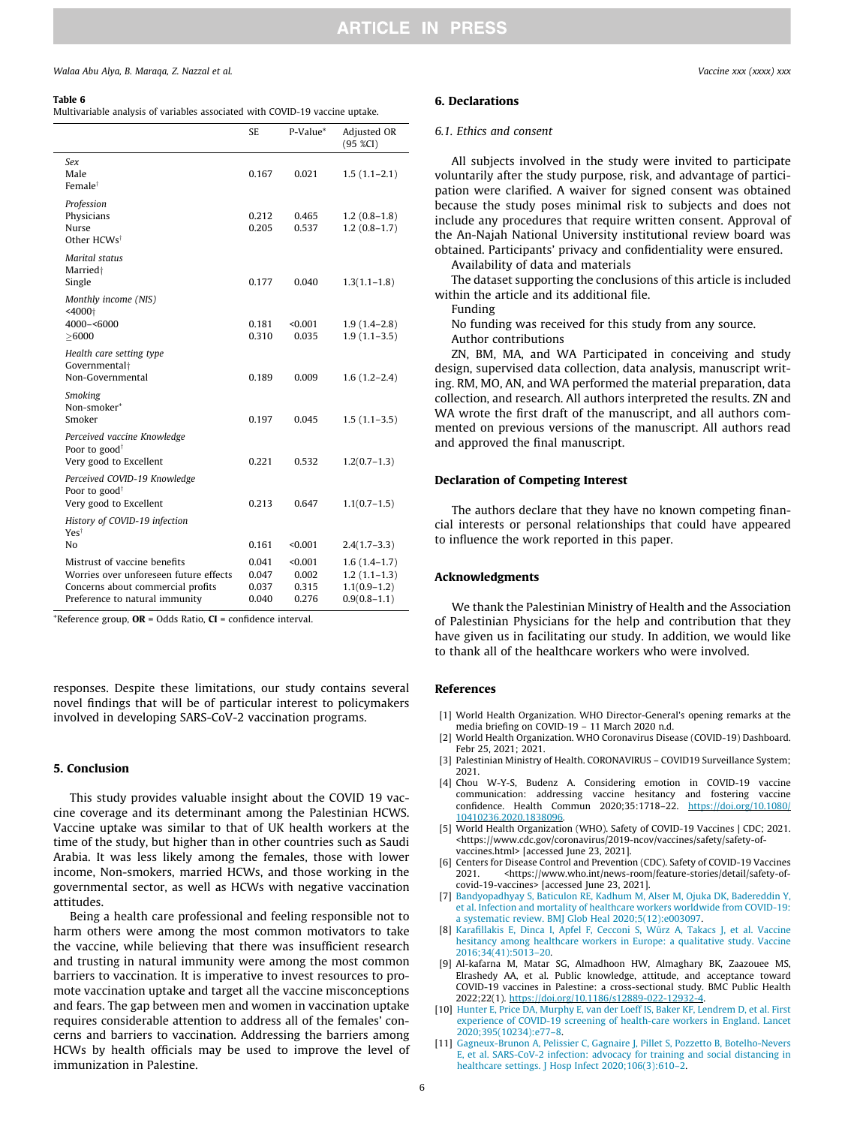#### <span id="page-5-0"></span>Table 6

Multivariable analysis of variables associated with COVID-19 vaccine uptake.

|                                                                                                                                               | <b>SE</b>                        | P-Value*                           | Adjusted OR<br>(95 %CI)                                                |
|-----------------------------------------------------------------------------------------------------------------------------------------------|----------------------------------|------------------------------------|------------------------------------------------------------------------|
| Sex<br>Male<br>Female <sup>†</sup>                                                                                                            | 0.167                            | 0.021                              | $1.5(1.1-2.1)$                                                         |
| Profession<br>Physicians<br>Nurse<br>Other HCWs <sup>†</sup>                                                                                  | 0.212<br>0.205                   | 0.465<br>0.537                     | $1.2(0.8-1.8)$<br>$1.2(0.8-1.7)$                                       |
| Marital status<br>Married <sup>+</sup><br>Single                                                                                              | 0.177                            | 0.040                              | $1.3(1.1-1.8)$                                                         |
| Monthly income (NIS)<br>$<$ 4000 $\dagger$<br>4000-<6000<br>> 6000                                                                            | 0.181<br>0.310                   | < 0.001<br>0.035                   | $1.9(1.4-2.8)$<br>$1.9(1.1-3.5)$                                       |
| Health care setting type<br>Governmental+<br>Non-Governmental                                                                                 | 0.189                            | 0.009                              | $1.6(1.2 - 2.4)$                                                       |
| Smoking<br>Non-smoker <sup>+</sup><br>Smoker                                                                                                  | 0.197                            | 0.045                              | $1.5(1.1-3.5)$                                                         |
| Perceived vaccine Knowledge<br>Poor to good <sup>†</sup><br>Very good to Excellent                                                            | 0.221                            | 0.532                              | $1.2(0.7-1.3)$                                                         |
| Perceived COVID-19 Knowledge<br>Poor to good <sup>†</sup><br>Very good to Excellent                                                           | 0.213                            | 0.647                              | $1.1(0.7-1.5)$                                                         |
| History of COVID-19 infection<br>Yest<br>No                                                                                                   | 0.161                            | < 0.001                            | $2.4(1.7-3.3)$                                                         |
| Mistrust of vaccine benefits<br>Worries over unforeseen future effects<br>Concerns about commercial profits<br>Preference to natural immunity | 0.041<br>0.047<br>0.037<br>0.040 | < 0.001<br>0.002<br>0.315<br>0.276 | $1.6(1.4-1.7)$<br>$1.2(1.1-1.3)$<br>$1.1(0.9-1.2)$<br>$0.9(0.8 - 1.1)$ |

\*Reference group, OR = Odds Ratio, CI = confidence interval.

responses. Despite these limitations, our study contains several novel findings that will be of particular interest to policymakers involved in developing SARS-CoV-2 vaccination programs.

#### 5. Conclusion

This study provides valuable insight about the COVID 19 vaccine coverage and its determinant among the Palestinian HCWS. Vaccine uptake was similar to that of UK health workers at the time of the study, but higher than in other countries such as Saudi Arabia. It was less likely among the females, those with lower income, Non-smokers, married HCWs, and those working in the governmental sector, as well as HCWs with negative vaccination attitudes.

Being a health care professional and feeling responsible not to harm others were among the most common motivators to take the vaccine, while believing that there was insufficient research and trusting in natural immunity were among the most common barriers to vaccination. It is imperative to invest resources to promote vaccination uptake and target all the vaccine misconceptions and fears. The gap between men and women in vaccination uptake requires considerable attention to address all of the females' concerns and barriers to vaccination. Addressing the barriers among HCWs by health officials may be used to improve the level of immunization in Palestine.

## 6. Declarations

#### 6.1. Ethics and consent

All subjects involved in the study were invited to participate voluntarily after the study purpose, risk, and advantage of participation were clarified. A waiver for signed consent was obtained because the study poses minimal risk to subjects and does not include any procedures that require written consent. Approval of the An-Najah National University institutional review board was obtained. Participants' privacy and confidentiality were ensured.

Availability of data and materials

The dataset supporting the conclusions of this article is included within the article and its additional file.

Funding

No funding was received for this study from any source. Author contributions

ZN, BM, MA, and WA Participated in conceiving and study design, supervised data collection, data analysis, manuscript writing. RM, MO, AN, and WA performed the material preparation, data collection, and research. All authors interpreted the results. ZN and WA wrote the first draft of the manuscript, and all authors commented on previous versions of the manuscript. All authors read and approved the final manuscript.

### Declaration of Competing Interest

The authors declare that they have no known competing financial interests or personal relationships that could have appeared to influence the work reported in this paper.

## Acknowledgments

We thank the Palestinian Ministry of Health and the Association of Palestinian Physicians for the help and contribution that they have given us in facilitating our study. In addition, we would like to thank all of the healthcare workers who were involved.

#### References

- [1] World Health Organization. WHO Director-General's opening remarks at the media briefing on COVID-19 – 11 March 2020 n.d.
- [2] World Health Organization. WHO Coronavirus Disease (COVID-19) Dashboard. Febr 25, 2021; 2021.
- [3] Palestinian Ministry of Health. CORONAVIRUS COVID19 Surveillance System; 2021.
- [4] Chou W-Y-S, Budenz A. Considering emotion in COVID-19 vaccine communication: addressing vaccine hesitancy and fostering vaccine confidence. Health Commun 2020;35:1718–22. [https://doi.org/10.1080/](https://doi.org/10.1080/10410236.2020.1838096) 0410236.2020.183809
- [5] World Health Organization (WHO). Safety of COVID-19 Vaccines | CDC; 2021. <https://www.cdc.gov/coronavirus/2019-ncov/vaccines/safety/safety-ofvaccines.html> [accessed June 23, 2021].
- [6] Centers for Disease Control and Prevention (CDC). Safety of COVID-19 Vaccines 2021. <https://www.who.int/news-room/feature-stories/detail/safety-ofcovid-19-vaccines> [accessed June 23, 2021].
- [7] [Bandyopadhyay S, Baticulon RE, Kadhum M, Alser M, Ojuka DK, Badereddin Y,](http://refhub.elsevier.com/S0264-410X(22)00610-7/h0035) [et al. Infection and mortality of healthcare workers worldwide from COVID-19:](http://refhub.elsevier.com/S0264-410X(22)00610-7/h0035) [a systematic review. BMJ Glob Heal 2020;5\(12\):e003097](http://refhub.elsevier.com/S0264-410X(22)00610-7/h0035).
- [8] Karafillakis E, Dinca I, Apfel F, Cecconi S, Wűrz A, Takacs J, et al. Vaccine [hesitancy among healthcare workers in Europe: a qualitative study. Vaccine](http://refhub.elsevier.com/S0264-410X(22)00610-7/h0040) [2016;34\(41\):5013–20](http://refhub.elsevier.com/S0264-410X(22)00610-7/h0040).
- [9] Al-kafarna M, Matar SG, Almadhoon HW, Almaghary BK, Zaazouee MS, Elrashedy AA, et al. Public knowledge, attitude, and acceptance toward COVID-19 vaccines in Palestine: a cross-sectional study. BMC Public Health 2022;22(1). https://doi.org/10.1186/s12889-022-12932
- [10] [Hunter E, Price DA, Murphy E, van der Loeff IS, Baker KF, Lendrem D, et al. First](http://refhub.elsevier.com/S0264-410X(22)00610-7/h0050) [experience of COVID-19 screening of health-care workers in England. Lancet](http://refhub.elsevier.com/S0264-410X(22)00610-7/h0050) [2020;395\(10234\):e77–8.](http://refhub.elsevier.com/S0264-410X(22)00610-7/h0050)
- [11] [Gagneux-Brunon A, Pelissier C, Gagnaire J, Pillet S, Pozzetto B, Botelho-Nevers](http://refhub.elsevier.com/S0264-410X(22)00610-7/h0055) [E, et al. SARS-CoV-2 infection: advocacy for training and social distancing in](http://refhub.elsevier.com/S0264-410X(22)00610-7/h0055) healthcare settings. J Hosp Infect 2020;106(3):610-2.